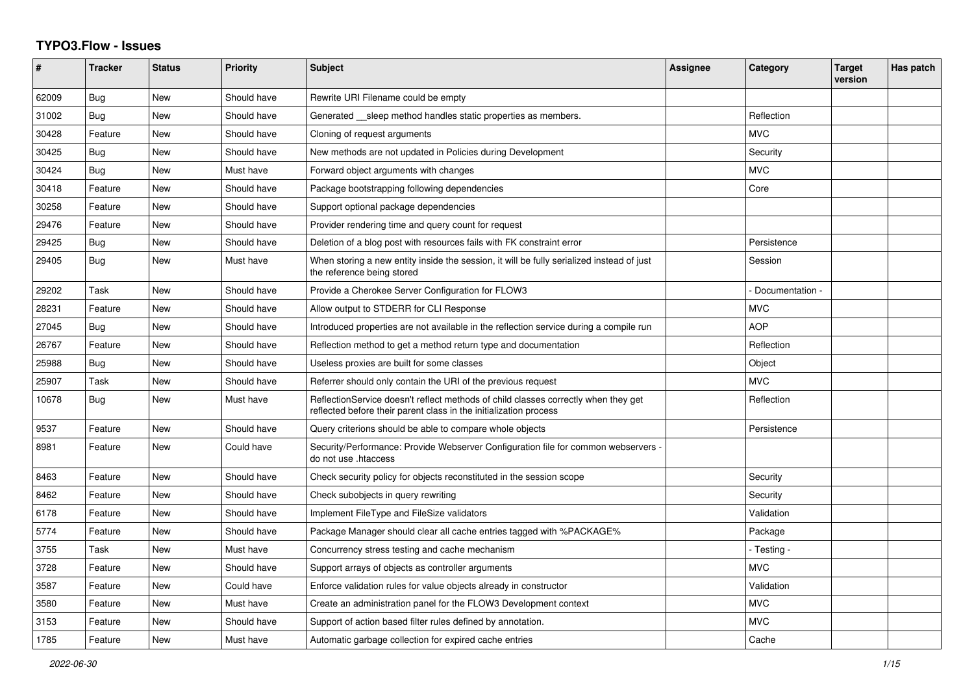## **TYPO3.Flow - Issues**

| #     | <b>Tracker</b> | <b>Status</b> | Priority    | <b>Subject</b>                                                                                                                                          | Assignee | Category        | <b>Target</b><br>version | Has patch |
|-------|----------------|---------------|-------------|---------------------------------------------------------------------------------------------------------------------------------------------------------|----------|-----------------|--------------------------|-----------|
| 62009 | Bug            | <b>New</b>    | Should have | Rewrite URI Filename could be empty                                                                                                                     |          |                 |                          |           |
| 31002 | <b>Bug</b>     | <b>New</b>    | Should have | Generated __sleep method handles static properties as members.                                                                                          |          | Reflection      |                          |           |
| 30428 | Feature        | <b>New</b>    | Should have | Cloning of request arguments                                                                                                                            |          | <b>MVC</b>      |                          |           |
| 30425 | Bug            | <b>New</b>    | Should have | New methods are not updated in Policies during Development                                                                                              |          | Security        |                          |           |
| 30424 | Bug            | New           | Must have   | Forward object arguments with changes                                                                                                                   |          | <b>MVC</b>      |                          |           |
| 30418 | Feature        | <b>New</b>    | Should have | Package bootstrapping following dependencies                                                                                                            |          | Core            |                          |           |
| 30258 | Feature        | <b>New</b>    | Should have | Support optional package dependencies                                                                                                                   |          |                 |                          |           |
| 29476 | Feature        | New           | Should have | Provider rendering time and query count for request                                                                                                     |          |                 |                          |           |
| 29425 | Bug            | New           | Should have | Deletion of a blog post with resources fails with FK constraint error                                                                                   |          | Persistence     |                          |           |
| 29405 | Bug            | <b>New</b>    | Must have   | When storing a new entity inside the session, it will be fully serialized instead of just<br>the reference being stored                                 |          | Session         |                          |           |
| 29202 | Task           | <b>New</b>    | Should have | Provide a Cherokee Server Configuration for FLOW3                                                                                                       |          | Documentation - |                          |           |
| 28231 | Feature        | <b>New</b>    | Should have | Allow output to STDERR for CLI Response                                                                                                                 |          | <b>MVC</b>      |                          |           |
| 27045 | Bug            | New           | Should have | Introduced properties are not available in the reflection service during a compile run                                                                  |          | <b>AOP</b>      |                          |           |
| 26767 | Feature        | New           | Should have | Reflection method to get a method return type and documentation                                                                                         |          | Reflection      |                          |           |
| 25988 | Bug            | <b>New</b>    | Should have | Useless proxies are built for some classes                                                                                                              |          | Object          |                          |           |
| 25907 | Task           | <b>New</b>    | Should have | Referrer should only contain the URI of the previous request                                                                                            |          | <b>MVC</b>      |                          |           |
| 10678 | Bug            | New           | Must have   | ReflectionService doesn't reflect methods of child classes correctly when they get<br>reflected before their parent class in the initialization process |          | Reflection      |                          |           |
| 9537  | Feature        | <b>New</b>    | Should have | Query criterions should be able to compare whole objects                                                                                                |          | Persistence     |                          |           |
| 8981  | Feature        | New           | Could have  | Security/Performance: Provide Webserver Configuration file for common webservers<br>do not use .htaccess                                                |          |                 |                          |           |
| 8463  | Feature        | <b>New</b>    | Should have | Check security policy for objects reconstituted in the session scope                                                                                    |          | Security        |                          |           |
| 8462  | Feature        | <b>New</b>    | Should have | Check subobjects in query rewriting                                                                                                                     |          | Security        |                          |           |
| 6178  | Feature        | <b>New</b>    | Should have | Implement FileType and FileSize validators                                                                                                              |          | Validation      |                          |           |
| 5774  | Feature        | New           | Should have | Package Manager should clear all cache entries tagged with %PACKAGE%                                                                                    |          | Package         |                          |           |
| 3755  | Task           | <b>New</b>    | Must have   | Concurrency stress testing and cache mechanism                                                                                                          |          | - Testing -     |                          |           |
| 3728  | Feature        | <b>New</b>    | Should have | Support arrays of objects as controller arguments                                                                                                       |          | <b>MVC</b>      |                          |           |
| 3587  | Feature        | <b>New</b>    | Could have  | Enforce validation rules for value objects already in constructor                                                                                       |          | Validation      |                          |           |
| 3580  | Feature        | <b>New</b>    | Must have   | Create an administration panel for the FLOW3 Development context                                                                                        |          | <b>MVC</b>      |                          |           |
| 3153  | Feature        | <b>New</b>    | Should have | Support of action based filter rules defined by annotation.                                                                                             |          | <b>MVC</b>      |                          |           |
| 1785  | Feature        | New           | Must have   | Automatic garbage collection for expired cache entries                                                                                                  |          | Cache           |                          |           |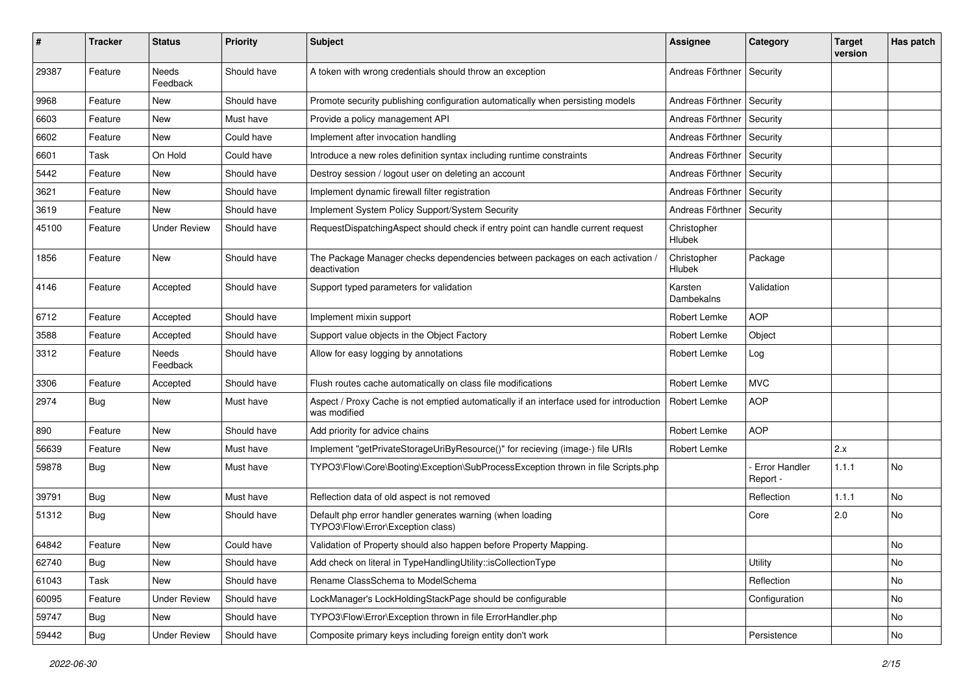| #     | <b>Tracker</b> | <b>Status</b>       | <b>Priority</b> | Subject                                                                                                 | <b>Assignee</b>       | Category                         | <b>Target</b><br>version | Has patch |
|-------|----------------|---------------------|-----------------|---------------------------------------------------------------------------------------------------------|-----------------------|----------------------------------|--------------------------|-----------|
| 29387 | Feature        | Needs<br>Feedback   | Should have     | A token with wrong credentials should throw an exception                                                | Andreas Förthner      | Security                         |                          |           |
| 9968  | Feature        | New                 | Should have     | Promote security publishing configuration automatically when persisting models                          | Andreas Förthner      | Security                         |                          |           |
| 6603  | Feature        | New                 | Must have       | Provide a policy management API                                                                         | Andreas Förthner      | Security                         |                          |           |
| 6602  | Feature        | New                 | Could have      | Implement after invocation handling                                                                     | Andreas Förthner      | Security                         |                          |           |
| 6601  | Task           | On Hold             | Could have      | Introduce a new roles definition syntax including runtime constraints                                   | Andreas Förthner      | Security                         |                          |           |
| 5442  | Feature        | New                 | Should have     | Destroy session / logout user on deleting an account                                                    | Andreas Förthner      | Security                         |                          |           |
| 3621  | Feature        | New                 | Should have     | Implement dynamic firewall filter registration                                                          | Andreas Förthner      | Security                         |                          |           |
| 3619  | Feature        | <b>New</b>          | Should have     | Implement System Policy Support/System Security                                                         | Andreas Förthner      | Security                         |                          |           |
| 45100 | Feature        | <b>Under Review</b> | Should have     | RequestDispatchingAspect should check if entry point can handle current request                         | Christopher<br>Hlubek |                                  |                          |           |
| 1856  | Feature        | <b>New</b>          | Should have     | The Package Manager checks dependencies between packages on each activation<br>deactivation             | Christopher<br>Hlubek | Package                          |                          |           |
| 4146  | Feature        | Accepted            | Should have     | Support typed parameters for validation                                                                 | Karsten<br>Dambekalns | Validation                       |                          |           |
| 6712  | Feature        | Accepted            | Should have     | Implement mixin support                                                                                 | Robert Lemke          | <b>AOP</b>                       |                          |           |
| 3588  | Feature        | Accepted            | Should have     | Support value objects in the Object Factory                                                             | Robert Lemke          | Object                           |                          |           |
| 3312  | Feature        | Needs<br>Feedback   | Should have     | Allow for easy logging by annotations                                                                   | Robert Lemke          | Log                              |                          |           |
| 3306  | Feature        | Accepted            | Should have     | Flush routes cache automatically on class file modifications                                            | Robert Lemke          | <b>MVC</b>                       |                          |           |
| 2974  | <b>Bug</b>     | New                 | Must have       | Aspect / Proxy Cache is not emptied automatically if an interface used for introduction<br>was modified | Robert Lemke          | <b>AOP</b>                       |                          |           |
| 890   | Feature        | New                 | Should have     | Add priority for advice chains                                                                          | Robert Lemke          | <b>AOP</b>                       |                          |           |
| 56639 | Feature        | New                 | Must have       | Implement "getPrivateStorageUriByResource()" for recieving (image-) file URIs                           | Robert Lemke          |                                  | 2.x                      |           |
| 59878 | <b>Bug</b>     | New                 | Must have       | TYPO3\Flow\Core\Booting\Exception\SubProcessException thrown in file Scripts.php                        |                       | <b>Error Handler</b><br>Report - | 1.1.1                    | No        |
| 39791 | <b>Bug</b>     | <b>New</b>          | Must have       | Reflection data of old aspect is not removed                                                            |                       | Reflection                       | 1.1.1                    | No        |
| 51312 | <b>Bug</b>     | New                 | Should have     | Default php error handler generates warning (when loading<br>TYPO3\Flow\Error\Exception class)          |                       | Core                             | 2.0                      | No        |
| 64842 | Feature        | New                 | Could have      | Validation of Property should also happen before Property Mapping.                                      |                       |                                  |                          | No        |
| 62740 | Bug            | New                 | Should have     | Add check on literal in TypeHandlingUtility::isCollectionType                                           |                       | Utility                          |                          | No        |
| 61043 | Task           | New                 | Should have     | Rename ClassSchema to ModelSchema                                                                       |                       | Reflection                       |                          | No        |
| 60095 | Feature        | <b>Under Review</b> | Should have     | LockManager's LockHoldingStackPage should be configurable                                               |                       | Configuration                    |                          | No        |
| 59747 | <b>Bug</b>     | New                 | Should have     | TYPO3\Flow\Error\Exception thrown in file ErrorHandler.php                                              |                       |                                  |                          | No        |
| 59442 | Bug            | <b>Under Review</b> | Should have     | Composite primary keys including foreign entity don't work                                              |                       | Persistence                      |                          | No        |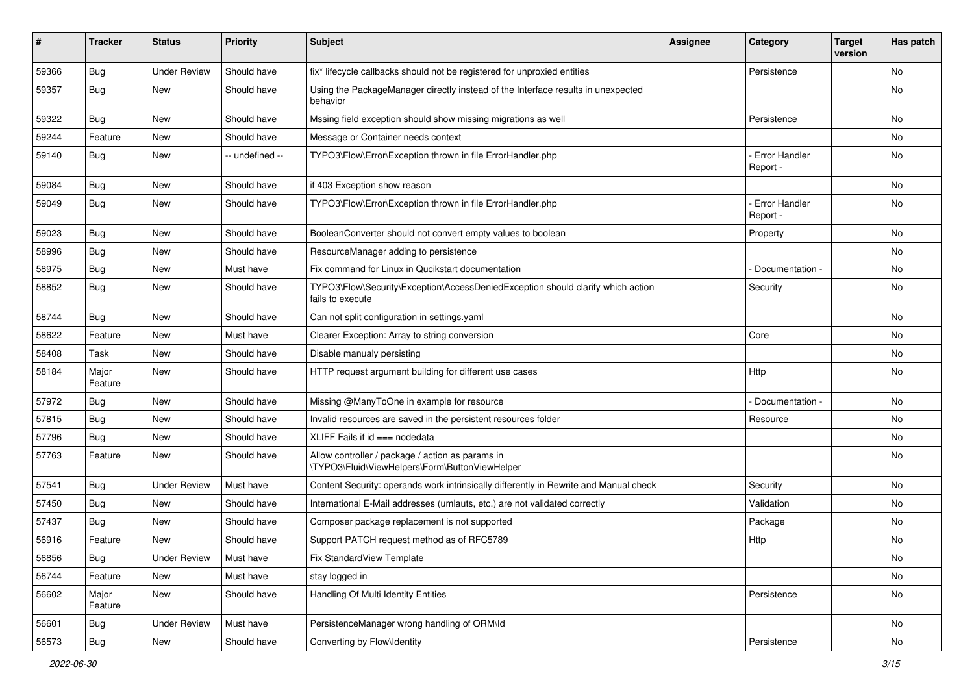| #     | <b>Tracker</b>   | <b>Status</b>       | <b>Priority</b> | Subject                                                                                             | Assignee | Category                         | <b>Target</b><br>version | Has patch |
|-------|------------------|---------------------|-----------------|-----------------------------------------------------------------------------------------------------|----------|----------------------------------|--------------------------|-----------|
| 59366 | Bug              | <b>Under Review</b> | Should have     | fix* lifecycle callbacks should not be registered for unproxied entities                            |          | Persistence                      |                          | No        |
| 59357 | <b>Bug</b>       | New                 | Should have     | Using the PackageManager directly instead of the Interface results in unexpected<br>behavior        |          |                                  |                          | No        |
| 59322 | <b>Bug</b>       | <b>New</b>          | Should have     | Mssing field exception should show missing migrations as well                                       |          | Persistence                      |                          | No        |
| 59244 | Feature          | New                 | Should have     | Message or Container needs context                                                                  |          |                                  |                          | No        |
| 59140 | <b>Bug</b>       | New                 | -- undefined -- | TYPO3\Flow\Error\Exception thrown in file ErrorHandler.php                                          |          | <b>Error Handler</b><br>Report - |                          | <b>No</b> |
| 59084 | <b>Bug</b>       | New                 | Should have     | if 403 Exception show reason                                                                        |          |                                  |                          | No        |
| 59049 | <b>Bug</b>       | New                 | Should have     | TYPO3\Flow\Error\Exception thrown in file ErrorHandler.php                                          |          | <b>Error Handler</b><br>Report - |                          | No        |
| 59023 | <b>Bug</b>       | <b>New</b>          | Should have     | BooleanConverter should not convert empty values to boolean                                         |          | Property                         |                          | No        |
| 58996 | Bug              | New                 | Should have     | ResourceManager adding to persistence                                                               |          |                                  |                          | No        |
| 58975 | <b>Bug</b>       | New                 | Must have       | Fix command for Linux in Qucikstart documentation                                                   |          | Documentation -                  |                          | No        |
| 58852 | <b>Bug</b>       | New                 | Should have     | TYPO3\Flow\Security\Exception\AccessDeniedException should clarify which action<br>fails to execute |          | Security                         |                          | No.       |
| 58744 | <b>Bug</b>       | <b>New</b>          | Should have     | Can not split configuration in settings.yaml                                                        |          |                                  |                          | No.       |
| 58622 | Feature          | New                 | Must have       | Clearer Exception: Array to string conversion                                                       |          | Core                             |                          | No        |
| 58408 | Task             | New                 | Should have     | Disable manualy persisting                                                                          |          |                                  |                          | No        |
| 58184 | Major<br>Feature | New                 | Should have     | HTTP request argument building for different use cases                                              |          | Http                             |                          | No.       |
| 57972 | Bug              | <b>New</b>          | Should have     | Missing @ManyToOne in example for resource                                                          |          | Documentation -                  |                          | No        |
| 57815 | Bug              | <b>New</b>          | Should have     | Invalid resources are saved in the persistent resources folder                                      |          | Resource                         |                          | No.       |
| 57796 | <b>Bug</b>       | New                 | Should have     | XLIFF Fails if $id ==$ nodedata                                                                     |          |                                  |                          | No        |
| 57763 | Feature          | New                 | Should have     | Allow controller / package / action as params in<br>\TYPO3\Fluid\ViewHelpers\Form\ButtonViewHelper  |          |                                  |                          | <b>No</b> |
| 57541 | <b>Bug</b>       | <b>Under Review</b> | Must have       | Content Security: operands work intrinsically differently in Rewrite and Manual check               |          | Security                         |                          | No.       |
| 57450 | <b>Bug</b>       | New                 | Should have     | International E-Mail addresses (umlauts, etc.) are not validated correctly                          |          | Validation                       |                          | No        |
| 57437 | <b>Bug</b>       | New                 | Should have     | Composer package replacement is not supported                                                       |          | Package                          |                          | No        |
| 56916 | Feature          | New                 | Should have     | Support PATCH request method as of RFC5789                                                          |          | Http                             |                          | No        |
| 56856 | Bug              | <b>Under Review</b> | Must have       | Fix StandardView Template                                                                           |          |                                  |                          | No        |
| 56744 | Feature          | New                 | Must have       | stay logged in                                                                                      |          |                                  |                          | No        |
| 56602 | Major<br>Feature | New                 | Should have     | Handling Of Multi Identity Entities                                                                 |          | Persistence                      |                          | No        |
| 56601 | <b>Bug</b>       | <b>Under Review</b> | Must have       | PersistenceManager wrong handling of ORM\ld                                                         |          |                                  |                          | No        |
| 56573 | Bug              | New                 | Should have     | Converting by Flow\Identity                                                                         |          | Persistence                      |                          | No        |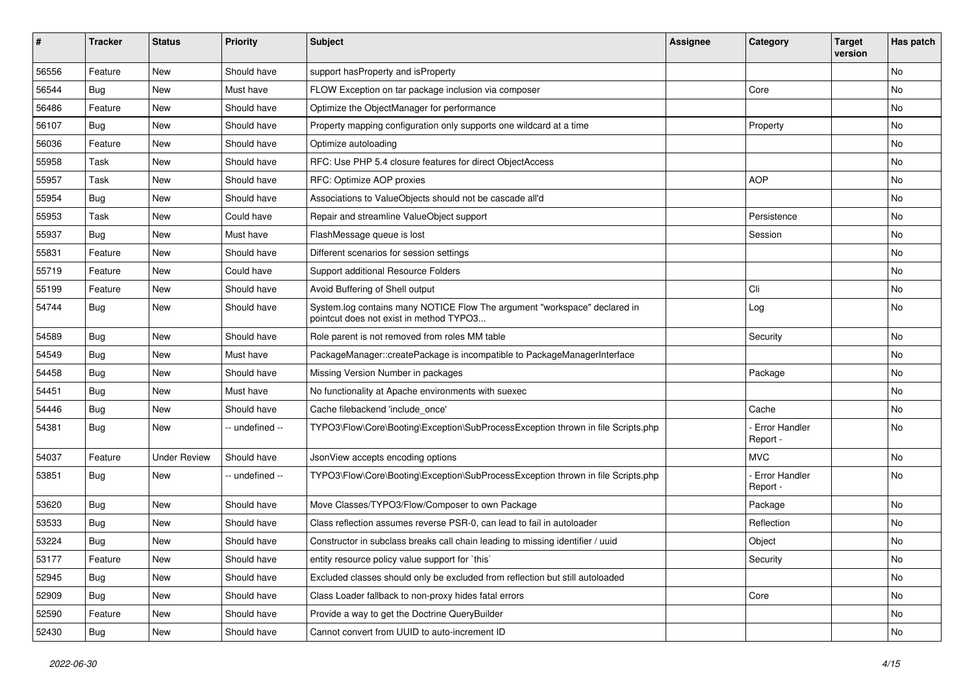| ∦     | <b>Tracker</b> | <b>Status</b>       | <b>Priority</b> | <b>Subject</b>                                                                                                       | <b>Assignee</b> | Category                         | <b>Target</b><br>version | Has patch |
|-------|----------------|---------------------|-----------------|----------------------------------------------------------------------------------------------------------------------|-----------------|----------------------------------|--------------------------|-----------|
| 56556 | Feature        | <b>New</b>          | Should have     | support has Property and is Property                                                                                 |                 |                                  |                          | No        |
| 56544 | Bug            | <b>New</b>          | Must have       | FLOW Exception on tar package inclusion via composer                                                                 |                 | Core                             |                          | <b>No</b> |
| 56486 | Feature        | New                 | Should have     | Optimize the ObjectManager for performance                                                                           |                 |                                  |                          | No        |
| 56107 | Bug            | <b>New</b>          | Should have     | Property mapping configuration only supports one wildcard at a time                                                  |                 | Property                         |                          | No        |
| 56036 | Feature        | New                 | Should have     | Optimize autoloading                                                                                                 |                 |                                  |                          | No        |
| 55958 | Task           | New                 | Should have     | RFC: Use PHP 5.4 closure features for direct ObjectAccess                                                            |                 |                                  |                          | No        |
| 55957 | Task           | New                 | Should have     | RFC: Optimize AOP proxies                                                                                            |                 | <b>AOP</b>                       |                          | No        |
| 55954 | Bug            | New                 | Should have     | Associations to ValueObjects should not be cascade all'd                                                             |                 |                                  |                          | No        |
| 55953 | Task           | <b>New</b>          | Could have      | Repair and streamline ValueObject support                                                                            |                 | Persistence                      |                          | <b>No</b> |
| 55937 | Bug            | New                 | Must have       | FlashMessage queue is lost                                                                                           |                 | Session                          |                          | No        |
| 55831 | Feature        | <b>New</b>          | Should have     | Different scenarios for session settings                                                                             |                 |                                  |                          | <b>No</b> |
| 55719 | Feature        | New                 | Could have      | Support additional Resource Folders                                                                                  |                 |                                  |                          | No        |
| 55199 | Feature        | New                 | Should have     | Avoid Buffering of Shell output                                                                                      |                 | Cli                              |                          | <b>No</b> |
| 54744 | Bug            | New                 | Should have     | System.log contains many NOTICE Flow The argument "workspace" declared in<br>pointcut does not exist in method TYPO3 |                 | Log                              |                          | No        |
| 54589 | <b>Bug</b>     | New                 | Should have     | Role parent is not removed from roles MM table                                                                       |                 | Security                         |                          | No        |
| 54549 | Bug            | <b>New</b>          | Must have       | PackageManager::createPackage is incompatible to PackageManagerInterface                                             |                 |                                  |                          | No        |
| 54458 | <b>Bug</b>     | New                 | Should have     | Missing Version Number in packages                                                                                   |                 | Package                          |                          | No        |
| 54451 | Bug            | <b>New</b>          | Must have       | No functionality at Apache environments with suexec                                                                  |                 |                                  |                          | <b>No</b> |
| 54446 | <b>Bug</b>     | New                 | Should have     | Cache filebackend 'include_once'                                                                                     |                 | Cache                            |                          | No        |
| 54381 | <b>Bug</b>     | New                 | -- undefined -- | TYPO3\Flow\Core\Booting\Exception\SubProcessException thrown in file Scripts.php                                     |                 | <b>Error Handler</b><br>Report - |                          | No        |
| 54037 | Feature        | <b>Under Review</b> | Should have     | JsonView accepts encoding options                                                                                    |                 | MVC                              |                          | <b>No</b> |
| 53851 | <b>Bug</b>     | New                 | -- undefined -- | TYPO3\Flow\Core\Booting\Exception\SubProcessException thrown in file Scripts.php                                     |                 | Error Handler<br>Report -        |                          | No        |
| 53620 | Bug            | <b>New</b>          | Should have     | Move Classes/TYPO3/Flow/Composer to own Package                                                                      |                 | Package                          |                          | No        |
| 53533 | <b>Bug</b>     | <b>New</b>          | Should have     | Class reflection assumes reverse PSR-0, can lead to fail in autoloader                                               |                 | Reflection                       |                          | <b>No</b> |
| 53224 | <b>Bug</b>     | New                 | Should have     | Constructor in subclass breaks call chain leading to missing identifier / uuid                                       |                 | Object                           |                          | No        |
| 53177 | Feature        | New                 | Should have     | entity resource policy value support for `this`                                                                      |                 | Security                         |                          | No        |
| 52945 | <b>Bug</b>     | New                 | Should have     | Excluded classes should only be excluded from reflection but still autoloaded                                        |                 |                                  |                          | No        |
| 52909 | Bug            | New                 | Should have     | Class Loader fallback to non-proxy hides fatal errors                                                                |                 | Core                             |                          | No        |
| 52590 | Feature        | New                 | Should have     | Provide a way to get the Doctrine QueryBuilder                                                                       |                 |                                  |                          | No        |
| 52430 | Bug            | New                 | Should have     | Cannot convert from UUID to auto-increment ID                                                                        |                 |                                  |                          | No        |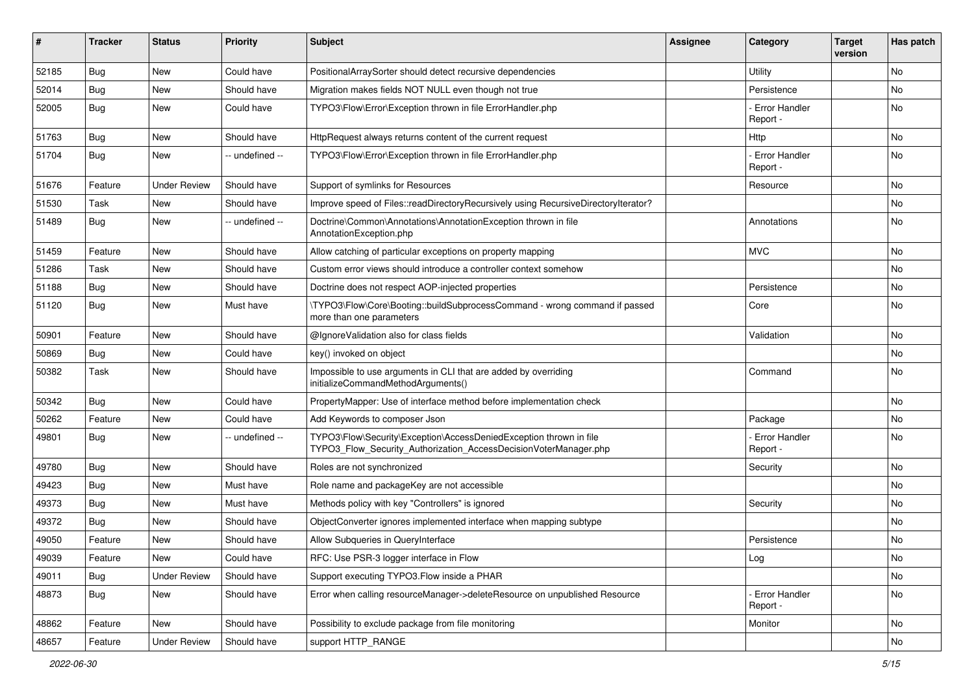| #     | <b>Tracker</b> | <b>Status</b>       | <b>Priority</b> | <b>Subject</b>                                                                                                                         | <b>Assignee</b> | Category                         | <b>Target</b><br>version | Has patch |
|-------|----------------|---------------------|-----------------|----------------------------------------------------------------------------------------------------------------------------------------|-----------------|----------------------------------|--------------------------|-----------|
| 52185 | Bug            | <b>New</b>          | Could have      | PositionalArraySorter should detect recursive dependencies                                                                             |                 | Utility                          |                          | No        |
| 52014 | Bug            | New                 | Should have     | Migration makes fields NOT NULL even though not true                                                                                   |                 | Persistence                      |                          | No        |
| 52005 | Bug            | New                 | Could have      | TYPO3\Flow\Error\Exception thrown in file ErrorHandler.php                                                                             |                 | <b>Error Handler</b><br>Report - |                          | No        |
| 51763 | Bug            | New                 | Should have     | HttpRequest always returns content of the current request                                                                              |                 | Http                             |                          | No        |
| 51704 | Bug            | New                 | -- undefined -- | TYPO3\Flow\Error\Exception thrown in file ErrorHandler.php                                                                             |                 | <b>Error Handler</b><br>Report - |                          | No.       |
| 51676 | Feature        | <b>Under Review</b> | Should have     | Support of symlinks for Resources                                                                                                      |                 | Resource                         |                          | No        |
| 51530 | Task           | <b>New</b>          | Should have     | Improve speed of Files::readDirectoryRecursively using RecursiveDirectoryIterator?                                                     |                 |                                  |                          | No.       |
| 51489 | Bug            | New                 | -- undefined -- | Doctrine\Common\Annotations\AnnotationException thrown in file<br>AnnotationException.php                                              |                 | Annotations                      |                          | No        |
| 51459 | Feature        | <b>New</b>          | Should have     | Allow catching of particular exceptions on property mapping                                                                            |                 | <b>MVC</b>                       |                          | No        |
| 51286 | Task           | New                 | Should have     | Custom error views should introduce a controller context somehow                                                                       |                 |                                  |                          | No        |
| 51188 | Bug            | New                 | Should have     | Doctrine does not respect AOP-injected properties                                                                                      |                 | Persistence                      |                          | No        |
| 51120 | Bug            | New                 | Must have       | \TYPO3\Flow\Core\Booting::buildSubprocessCommand - wrong command if passed<br>more than one parameters                                 |                 | Core                             |                          | No        |
| 50901 | Feature        | <b>New</b>          | Should have     | @IgnoreValidation also for class fields                                                                                                |                 | Validation                       |                          | No.       |
| 50869 | Bug            | New                 | Could have      | key() invoked on object                                                                                                                |                 |                                  |                          | No        |
| 50382 | Task           | New                 | Should have     | Impossible to use arguments in CLI that are added by overriding<br>initializeCommandMethodArguments()                                  |                 | Command                          |                          | No        |
| 50342 | Bug            | <b>New</b>          | Could have      | PropertyMapper: Use of interface method before implementation check                                                                    |                 |                                  |                          | No.       |
| 50262 | Feature        | New                 | Could have      | Add Keywords to composer Json                                                                                                          |                 | Package                          |                          | No        |
| 49801 | Bug            | New                 | -- undefined -- | TYPO3\Flow\Security\Exception\AccessDeniedException thrown in file<br>TYPO3_Flow_Security_Authorization_AccessDecisionVoterManager.php |                 | <b>Error Handler</b><br>Report - |                          | No        |
| 49780 | Bug            | <b>New</b>          | Should have     | Roles are not synchronized                                                                                                             |                 | Security                         |                          | No.       |
| 49423 | Bug            | New                 | Must have       | Role name and packageKey are not accessible                                                                                            |                 |                                  |                          | No        |
| 49373 | Bug            | <b>New</b>          | Must have       | Methods policy with key "Controllers" is ignored                                                                                       |                 | Security                         |                          | No.       |
| 49372 | Bug            | New                 | Should have     | ObjectConverter ignores implemented interface when mapping subtype                                                                     |                 |                                  |                          | No        |
| 49050 | Feature        | New                 | Should have     | Allow Subqueries in QueryInterface                                                                                                     |                 | Persistence                      |                          | No        |
| 49039 | Feature        | New                 | Could have      | RFC: Use PSR-3 logger interface in Flow                                                                                                |                 | Log                              |                          | No        |
| 49011 | Bug            | <b>Under Review</b> | Should have     | Support executing TYPO3. Flow inside a PHAR                                                                                            |                 |                                  |                          | No        |
| 48873 | Bug            | New                 | Should have     | Error when calling resourceManager->deleteResource on unpublished Resource                                                             |                 | <b>Error Handler</b><br>Report - |                          | No        |
| 48862 | Feature        | New                 | Should have     | Possibility to exclude package from file monitoring                                                                                    |                 | Monitor                          |                          | No        |
| 48657 | Feature        | <b>Under Review</b> | Should have     | support HTTP_RANGE                                                                                                                     |                 |                                  |                          | No        |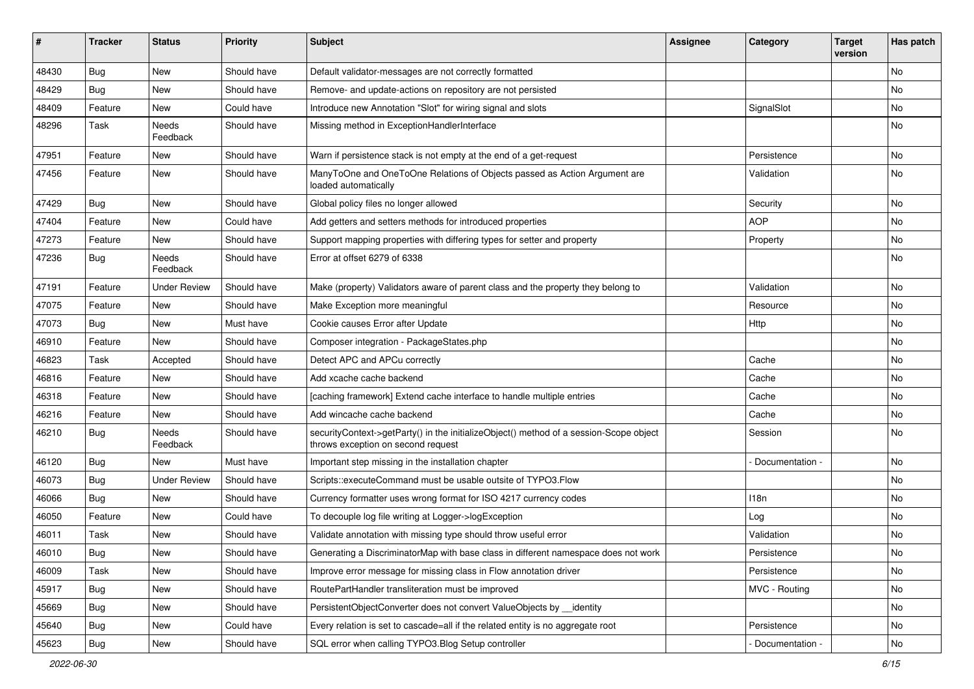| ∦     | <b>Tracker</b> | <b>Status</b>            | <b>Priority</b> | Subject                                                                                                                      | <b>Assignee</b> | Category        | <b>Target</b><br>version | Has patch |
|-------|----------------|--------------------------|-----------------|------------------------------------------------------------------------------------------------------------------------------|-----------------|-----------------|--------------------------|-----------|
| 48430 | Bug            | New                      | Should have     | Default validator-messages are not correctly formatted                                                                       |                 |                 |                          | No        |
| 48429 | <b>Bug</b>     | New                      | Should have     | Remove- and update-actions on repository are not persisted                                                                   |                 |                 |                          | No        |
| 48409 | Feature        | New                      | Could have      | Introduce new Annotation "Slot" for wiring signal and slots                                                                  |                 | SignalSlot      |                          | No        |
| 48296 | Task           | <b>Needs</b><br>Feedback | Should have     | Missing method in ExceptionHandlerInterface                                                                                  |                 |                 |                          | No        |
| 47951 | Feature        | New                      | Should have     | Warn if persistence stack is not empty at the end of a get-request                                                           |                 | Persistence     |                          | <b>No</b> |
| 47456 | Feature        | New                      | Should have     | ManyToOne and OneToOne Relations of Objects passed as Action Argument are<br>loaded automatically                            |                 | Validation      |                          | No        |
| 47429 | Bug            | New                      | Should have     | Global policy files no longer allowed                                                                                        |                 | Security        |                          | No        |
| 47404 | Feature        | New                      | Could have      | Add getters and setters methods for introduced properties                                                                    |                 | <b>AOP</b>      |                          | No        |
| 47273 | Feature        | New                      | Should have     | Support mapping properties with differing types for setter and property                                                      |                 | Property        |                          | No        |
| 47236 | Bug            | <b>Needs</b><br>Feedback | Should have     | Error at offset 6279 of 6338                                                                                                 |                 |                 |                          | No        |
| 47191 | Feature        | <b>Under Review</b>      | Should have     | Make (property) Validators aware of parent class and the property they belong to                                             |                 | Validation      |                          | <b>No</b> |
| 47075 | Feature        | New                      | Should have     | Make Exception more meaningful                                                                                               |                 | Resource        |                          | No        |
| 47073 | <b>Bug</b>     | New                      | Must have       | Cookie causes Error after Update                                                                                             |                 | Http            |                          | No        |
| 46910 | Feature        | New                      | Should have     | Composer integration - PackageStates.php                                                                                     |                 |                 |                          | No        |
| 46823 | Task           | Accepted                 | Should have     | Detect APC and APCu correctly                                                                                                |                 | Cache           |                          | No        |
| 46816 | Feature        | New                      | Should have     | Add xcache cache backend                                                                                                     |                 | Cache           |                          | No        |
| 46318 | Feature        | New                      | Should have     | [caching framework] Extend cache interface to handle multiple entries                                                        |                 | Cache           |                          | No        |
| 46216 | Feature        | New                      | Should have     | Add wincache cache backend                                                                                                   |                 | Cache           |                          | No        |
| 46210 | Bug            | Needs<br>Feedback        | Should have     | securityContext->getParty() in the initializeObject() method of a session-Scope object<br>throws exception on second request |                 | Session         |                          | No        |
| 46120 | <b>Bug</b>     | New                      | Must have       | Important step missing in the installation chapter                                                                           |                 | Documentation - |                          | No        |
| 46073 | Bug            | <b>Under Review</b>      | Should have     | Scripts::executeCommand must be usable outsite of TYPO3.Flow                                                                 |                 |                 |                          | No        |
| 46066 | <b>Bug</b>     | New                      | Should have     | Currency formatter uses wrong format for ISO 4217 currency codes                                                             |                 | 118n            |                          | No        |
| 46050 | Feature        | New                      | Could have      | To decouple log file writing at Logger->logException                                                                         |                 | Log             |                          | <b>No</b> |
| 46011 | Task           | New                      | Should have     | Validate annotation with missing type should throw useful error                                                              |                 | Validation      |                          | No        |
| 46010 | <b>Bug</b>     | New                      | Should have     | Generating a DiscriminatorMap with base class in different namespace does not work                                           |                 | Persistence     |                          | No        |
| 46009 | Task           | New                      | Should have     | Improve error message for missing class in Flow annotation driver                                                            |                 | Persistence     |                          | No        |
| 45917 | <b>Bug</b>     | New                      | Should have     | RoutePartHandler transliteration must be improved                                                                            |                 | MVC - Routing   |                          | No        |
| 45669 | <b>Bug</b>     | New                      | Should have     | PersistentObjectConverter does not convert ValueObjects by identity                                                          |                 |                 |                          | No        |
| 45640 | <b>Bug</b>     | New                      | Could have      | Every relation is set to cascade=all if the related entity is no aggregate root                                              |                 | Persistence     |                          | No        |
| 45623 | <b>Bug</b>     | New                      | Should have     | SQL error when calling TYPO3.Blog Setup controller                                                                           |                 | Documentation - |                          | No        |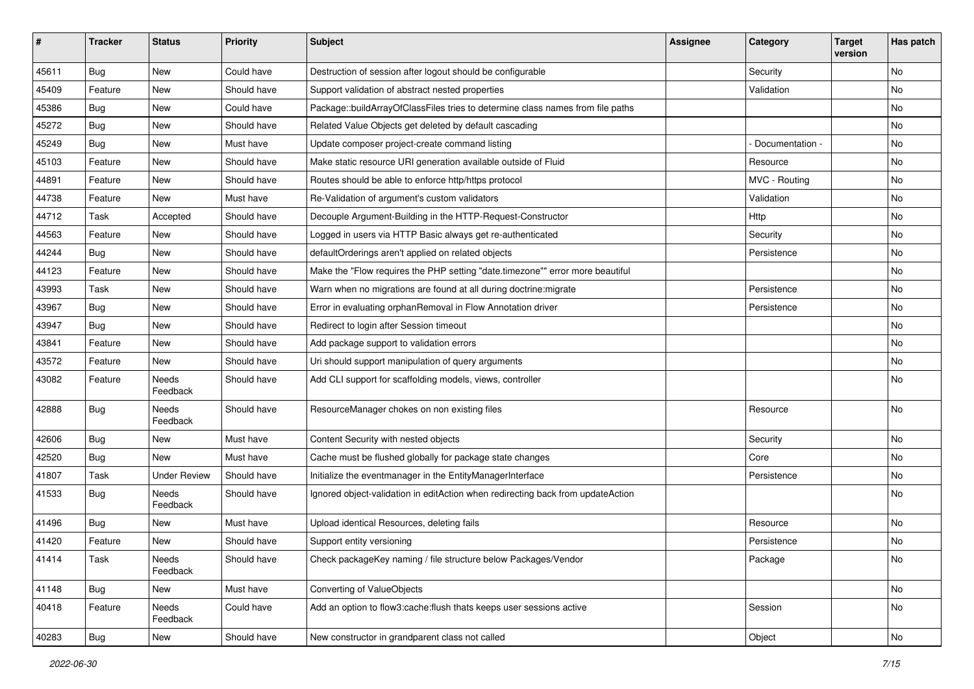| $\vert$ # | <b>Tracker</b> | <b>Status</b>            | <b>Priority</b> | <b>Subject</b>                                                                  | <b>Assignee</b> | Category        | <b>Target</b><br>version | Has patch |
|-----------|----------------|--------------------------|-----------------|---------------------------------------------------------------------------------|-----------------|-----------------|--------------------------|-----------|
| 45611     | Bug            | New                      | Could have      | Destruction of session after logout should be configurable                      |                 | Security        |                          | <b>No</b> |
| 45409     | Feature        | New                      | Should have     | Support validation of abstract nested properties                                |                 | Validation      |                          | No        |
| 45386     | <b>Bug</b>     | New                      | Could have      | Package::buildArrayOfClassFiles tries to determine class names from file paths  |                 |                 |                          | No        |
| 45272     | Bug            | New                      | Should have     | Related Value Objects get deleted by default cascading                          |                 |                 |                          | No        |
| 45249     | <b>Bug</b>     | New                      | Must have       | Update composer project-create command listing                                  |                 | Documentation - |                          | No        |
| 45103     | Feature        | <b>New</b>               | Should have     | Make static resource URI generation available outside of Fluid                  |                 | Resource        |                          | <b>No</b> |
| 44891     | Feature        | New                      | Should have     | Routes should be able to enforce http/https protocol                            |                 | MVC - Routing   |                          | No        |
| 44738     | Feature        | New                      | Must have       | Re-Validation of argument's custom validators                                   |                 | Validation      |                          | No        |
| 44712     | Task           | Accepted                 | Should have     | Decouple Argument-Building in the HTTP-Request-Constructor                      |                 | Http            |                          | No        |
| 44563     | Feature        | New                      | Should have     | Logged in users via HTTP Basic always get re-authenticated                      |                 | Security        |                          | No        |
| 44244     | <b>Bug</b>     | New                      | Should have     | defaultOrderings aren't applied on related objects                              |                 | Persistence     |                          | No        |
| 44123     | Feature        | New                      | Should have     | Make the "Flow requires the PHP setting "date.timezone"" error more beautiful   |                 |                 |                          | No        |
| 43993     | Task           | New                      | Should have     | Warn when no migrations are found at all during doctrine: migrate               |                 | Persistence     |                          | No        |
| 43967     | Bug            | New                      | Should have     | Error in evaluating orphanRemoval in Flow Annotation driver                     |                 | Persistence     |                          | No        |
| 43947     | <b>Bug</b>     | New                      | Should have     | Redirect to login after Session timeout                                         |                 |                 |                          | No        |
| 43841     | Feature        | New                      | Should have     | Add package support to validation errors                                        |                 |                 |                          | No        |
| 43572     | Feature        | New                      | Should have     | Uri should support manipulation of query arguments                              |                 |                 |                          | No        |
| 43082     | Feature        | Needs<br>Feedback        | Should have     | Add CLI support for scaffolding models, views, controller                       |                 |                 |                          | No        |
| 42888     | Bug            | Needs<br>Feedback        | Should have     | ResourceManager chokes on non existing files                                    |                 | Resource        |                          | No        |
| 42606     | <b>Bug</b>     | New                      | Must have       | Content Security with nested objects                                            |                 | Security        |                          | No        |
| 42520     | Bug            | <b>New</b>               | Must have       | Cache must be flushed globally for package state changes                        |                 | Core            |                          | No        |
| 41807     | Task           | <b>Under Review</b>      | Should have     | Initialize the eventmanager in the EntityManagerInterface                       |                 | Persistence     |                          | No        |
| 41533     | Bug            | <b>Needs</b><br>Feedback | Should have     | Ignored object-validation in editAction when redirecting back from updateAction |                 |                 |                          | No        |
| 41496     | <b>Bug</b>     | New                      | Must have       | Upload identical Resources, deleting fails                                      |                 | Resource        |                          | <b>No</b> |
| 41420     | Feature        | New                      | Should have     | Support entity versioning                                                       |                 | Persistence     |                          | No        |
| 41414     | Task           | Needs<br>Feedback        | Should have     | Check packageKey naming / file structure below Packages/Vendor                  |                 | Package         |                          | No        |
| 41148     | Bug            | New                      | Must have       | Converting of ValueObjects                                                      |                 |                 |                          | No        |
| 40418     | Feature        | Needs<br>Feedback        | Could have      | Add an option to flow3:cache:flush thats keeps user sessions active             |                 | Session         |                          | No        |
| 40283     | Bug            | New                      | Should have     | New constructor in grandparent class not called                                 |                 | Object          |                          | No        |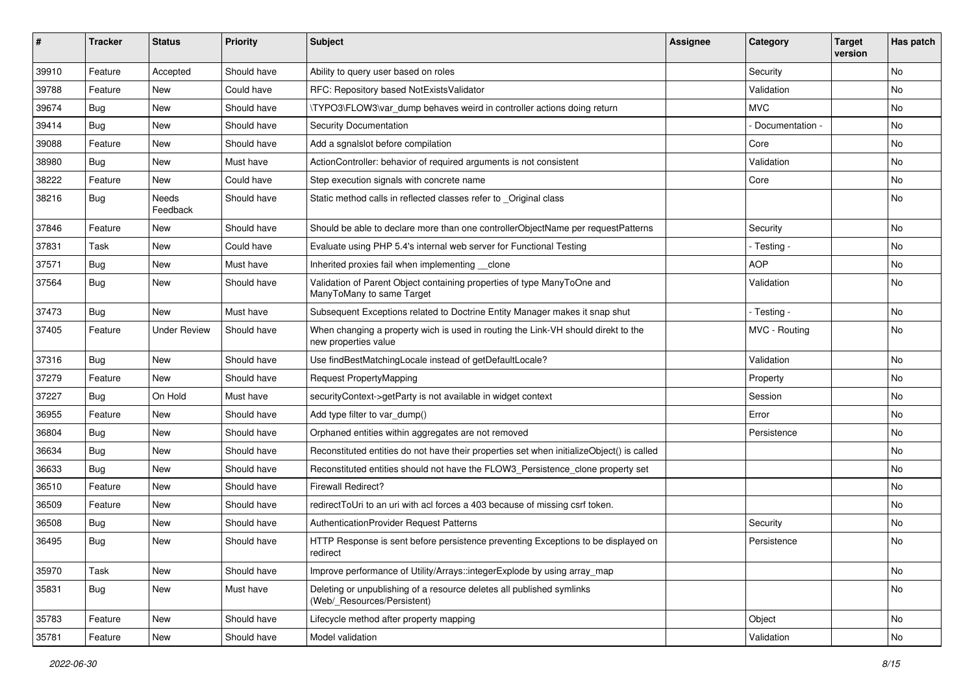| #     | <b>Tracker</b> | <b>Status</b>            | <b>Priority</b> | <b>Subject</b>                                                                                            | <b>Assignee</b> | Category        | <b>Target</b><br>version | Has patch |
|-------|----------------|--------------------------|-----------------|-----------------------------------------------------------------------------------------------------------|-----------------|-----------------|--------------------------|-----------|
| 39910 | Feature        | Accepted                 | Should have     | Ability to query user based on roles                                                                      |                 | Security        |                          | No        |
| 39788 | Feature        | <b>New</b>               | Could have      | RFC: Repository based NotExistsValidator                                                                  |                 | Validation      |                          | No        |
| 39674 | <b>Bug</b>     | New                      | Should have     | \TYPO3\FLOW3\var_dump behaves weird in controller actions doing return                                    |                 | <b>MVC</b>      |                          | No        |
| 39414 | Bug            | <b>New</b>               | Should have     | Security Documentation                                                                                    |                 | Documentation - |                          | <b>No</b> |
| 39088 | Feature        | New                      | Should have     | Add a sgnalslot before compilation                                                                        |                 | Core            |                          | No        |
| 38980 | Bug            | <b>New</b>               | Must have       | ActionController: behavior of required arguments is not consistent                                        |                 | Validation      |                          | <b>No</b> |
| 38222 | Feature        | New                      | Could have      | Step execution signals with concrete name                                                                 |                 | Core            |                          | No        |
| 38216 | <b>Bug</b>     | <b>Needs</b><br>Feedback | Should have     | Static method calls in reflected classes refer to _Original class                                         |                 |                 |                          | No        |
| 37846 | Feature        | <b>New</b>               | Should have     | Should be able to declare more than one controllerObjectName per requestPatterns                          |                 | Security        |                          | <b>No</b> |
| 37831 | Task           | New                      | Could have      | Evaluate using PHP 5.4's internal web server for Functional Testing                                       |                 | - Testing -     |                          | No        |
| 37571 | <b>Bug</b>     | <b>New</b>               | Must have       | Inherited proxies fail when implementing __clone                                                          |                 | <b>AOP</b>      |                          | No        |
| 37564 | Bug            | New                      | Should have     | Validation of Parent Object containing properties of type ManyToOne and<br>ManyToMany to same Target      |                 | Validation      |                          | No        |
| 37473 | <b>Bug</b>     | <b>New</b>               | Must have       | Subsequent Exceptions related to Doctrine Entity Manager makes it snap shut                               |                 | - Testing -     |                          | No        |
| 37405 | Feature        | <b>Under Review</b>      | Should have     | When changing a property wich is used in routing the Link-VH should direkt to the<br>new properties value |                 | MVC - Routing   |                          | No        |
| 37316 | Bug            | <b>New</b>               | Should have     | Use findBestMatchingLocale instead of getDefaultLocale?                                                   |                 | Validation      |                          | <b>No</b> |
| 37279 | Feature        | New                      | Should have     | Request PropertyMapping                                                                                   |                 | Property        |                          | No        |
| 37227 | Bug            | On Hold                  | Must have       | securityContext->getParty is not available in widget context                                              |                 | Session         |                          | No        |
| 36955 | Feature        | New                      | Should have     | Add type filter to var_dump()                                                                             |                 | Error           |                          | No        |
| 36804 | Bug            | New                      | Should have     | Orphaned entities within aggregates are not removed                                                       |                 | Persistence     |                          | <b>No</b> |
| 36634 | <b>Bug</b>     | New                      | Should have     | Reconstituted entities do not have their properties set when initializeObject() is called                 |                 |                 |                          | No        |
| 36633 | <b>Bug</b>     | New                      | Should have     | Reconstituted entities should not have the FLOW3_Persistence_clone property set                           |                 |                 |                          | <b>No</b> |
| 36510 | Feature        | New                      | Should have     | <b>Firewall Redirect?</b>                                                                                 |                 |                 |                          | <b>No</b> |
| 36509 | Feature        | New                      | Should have     | redirectToUri to an uri with acl forces a 403 because of missing csrf token.                              |                 |                 |                          | No        |
| 36508 | <b>Bug</b>     | New                      | Should have     | AuthenticationProvider Request Patterns                                                                   |                 | Security        |                          | <b>No</b> |
| 36495 | <b>Bug</b>     | New                      | Should have     | HTTP Response is sent before persistence preventing Exceptions to be displayed on<br>redirect             |                 | Persistence     |                          | No        |
| 35970 | Task           | New                      | Should have     | Improve performance of Utility/Arrays::integerExplode by using array_map                                  |                 |                 |                          | No        |
| 35831 | <b>Bug</b>     | New                      | Must have       | Deleting or unpublishing of a resource deletes all published symlinks<br>(Web/ Resources/Persistent)      |                 |                 |                          | No        |
| 35783 | Feature        | New                      | Should have     | Lifecycle method after property mapping                                                                   |                 | Object          |                          | No        |
| 35781 | Feature        | New                      | Should have     | Model validation                                                                                          |                 | Validation      |                          | No        |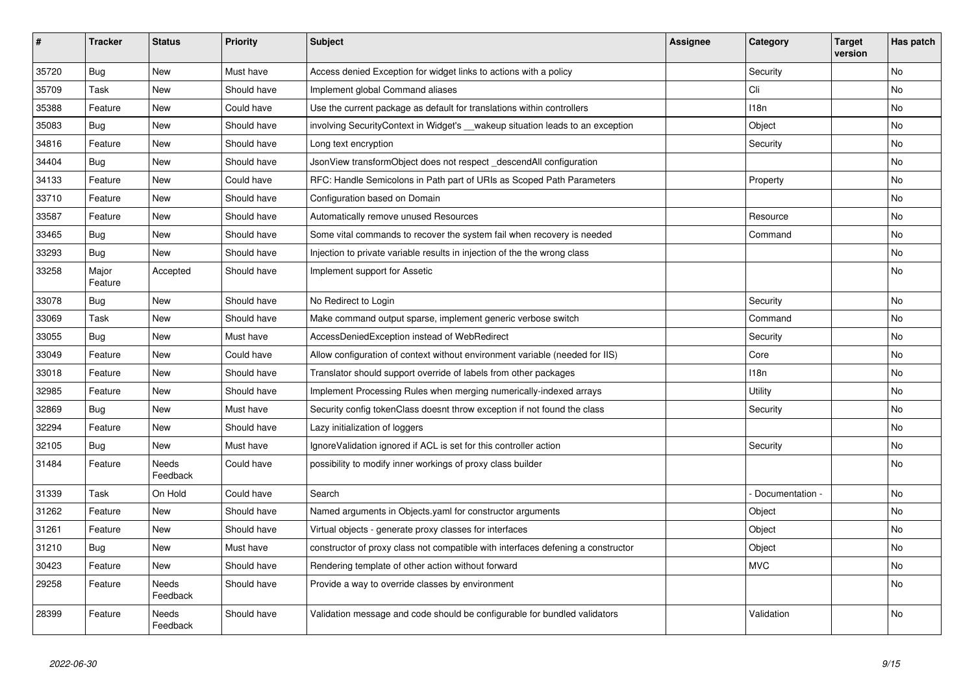| #     | <b>Tracker</b>   | <b>Status</b>            | <b>Priority</b> | <b>Subject</b>                                                                   | <b>Assignee</b> | Category        | <b>Target</b><br>version | Has patch |
|-------|------------------|--------------------------|-----------------|----------------------------------------------------------------------------------|-----------------|-----------------|--------------------------|-----------|
| 35720 | <b>Bug</b>       | <b>New</b>               | Must have       | Access denied Exception for widget links to actions with a policy                |                 | Security        |                          | <b>No</b> |
| 35709 | Task             | New                      | Should have     | Implement global Command aliases                                                 |                 | Cli             |                          | No        |
| 35388 | Feature          | New                      | Could have      | Use the current package as default for translations within controllers           |                 | 118n            |                          | No        |
| 35083 | Bug              | <b>New</b>               | Should have     | involving SecurityContext in Widget's __wakeup situation leads to an exception   |                 | Object          |                          | No        |
| 34816 | Feature          | <b>New</b>               | Should have     | Long text encryption                                                             |                 | Security        |                          | No        |
| 34404 | Bug              | New                      | Should have     | JsonView transformObject does not respect descendAll configuration               |                 |                 |                          | No        |
| 34133 | Feature          | New                      | Could have      | RFC: Handle Semicolons in Path part of URIs as Scoped Path Parameters            |                 | Property        |                          | No        |
| 33710 | Feature          | New                      | Should have     | Configuration based on Domain                                                    |                 |                 |                          | No        |
| 33587 | Feature          | New                      | Should have     | Automatically remove unused Resources                                            |                 | Resource        |                          | No        |
| 33465 | Bug              | New                      | Should have     | Some vital commands to recover the system fail when recovery is needed           |                 | Command         |                          | No        |
| 33293 | Bug              | New                      | Should have     | Injection to private variable results in injection of the the wrong class        |                 |                 |                          | No        |
| 33258 | Major<br>Feature | Accepted                 | Should have     | Implement support for Assetic                                                    |                 |                 |                          | No        |
| 33078 | Bug              | New                      | Should have     | No Redirect to Login                                                             |                 | Security        |                          | <b>No</b> |
| 33069 | Task             | New                      | Should have     | Make command output sparse, implement generic verbose switch                     |                 | Command         |                          | No        |
| 33055 | <b>Bug</b>       | <b>New</b>               | Must have       | AccessDeniedException instead of WebRedirect                                     |                 | Security        |                          | No        |
| 33049 | Feature          | New                      | Could have      | Allow configuration of context without environment variable (needed for IIS)     |                 | Core            |                          | No        |
| 33018 | Feature          | New                      | Should have     | Translator should support override of labels from other packages                 |                 | 118n            |                          | No        |
| 32985 | Feature          | New                      | Should have     | Implement Processing Rules when merging numerically-indexed arrays               |                 | Utility         |                          | No        |
| 32869 | Bug              | <b>New</b>               | Must have       | Security config tokenClass doesnt throw exception if not found the class         |                 | Security        |                          | No        |
| 32294 | Feature          | New                      | Should have     | Lazy initialization of loggers                                                   |                 |                 |                          | No        |
| 32105 | Bug              | New                      | Must have       | IgnoreValidation ignored if ACL is set for this controller action                |                 | Security        |                          | No        |
| 31484 | Feature          | Needs<br>Feedback        | Could have      | possibility to modify inner workings of proxy class builder                      |                 |                 |                          | No        |
| 31339 | Task             | On Hold                  | Could have      | Search                                                                           |                 | Documentation - |                          | <b>No</b> |
| 31262 | Feature          | New                      | Should have     | Named arguments in Objects yaml for constructor arguments                        |                 | Object          |                          | No        |
| 31261 | Feature          | <b>New</b>               | Should have     | Virtual objects - generate proxy classes for interfaces                          |                 | Object          |                          | No        |
| 31210 | Bug              | New                      | Must have       | constructor of proxy class not compatible with interfaces defening a constructor |                 | Object          |                          | No        |
| 30423 | Feature          | New                      | Should have     | Rendering template of other action without forward                               |                 | <b>MVC</b>      |                          | No        |
| 29258 | Feature          | Needs<br>Feedback        | Should have     | Provide a way to override classes by environment                                 |                 |                 |                          | No        |
| 28399 | Feature          | <b>Needs</b><br>Feedback | Should have     | Validation message and code should be configurable for bundled validators        |                 | Validation      |                          | <b>No</b> |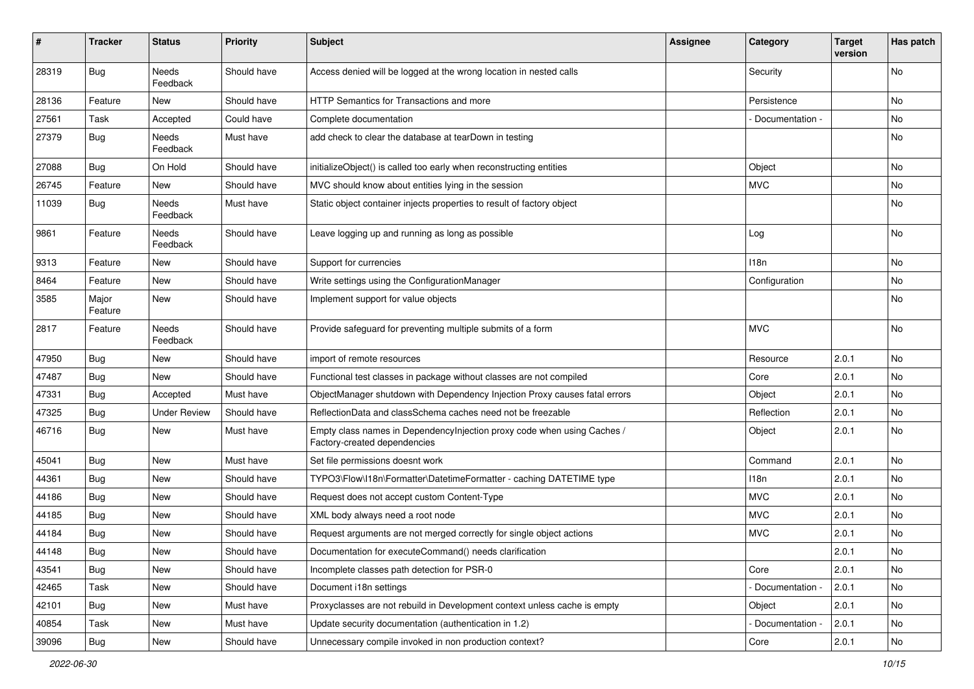| #     | <b>Tracker</b>   | <b>Status</b>            | <b>Priority</b> | <b>Subject</b>                                                                                          | Assignee | Category          | <b>Target</b><br>version | Has patch |
|-------|------------------|--------------------------|-----------------|---------------------------------------------------------------------------------------------------------|----------|-------------------|--------------------------|-----------|
| 28319 | Bug              | Needs<br>Feedback        | Should have     | Access denied will be logged at the wrong location in nested calls                                      |          | Security          |                          | No        |
| 28136 | Feature          | New                      | Should have     | HTTP Semantics for Transactions and more                                                                |          | Persistence       |                          | No        |
| 27561 | Task             | Accepted                 | Could have      | Complete documentation                                                                                  |          | Documentation -   |                          | No        |
| 27379 | Bug              | Needs<br>Feedback        | Must have       | add check to clear the database at tearDown in testing                                                  |          |                   |                          | No        |
| 27088 | Bug              | On Hold                  | Should have     | initializeObject() is called too early when reconstructing entities                                     |          | Object            |                          | No        |
| 26745 | Feature          | New                      | Should have     | MVC should know about entities lying in the session                                                     |          | <b>MVC</b>        |                          | No        |
| 11039 | Bug              | Needs<br>Feedback        | Must have       | Static object container injects properties to result of factory object                                  |          |                   |                          | No        |
| 9861  | Feature          | Needs<br>Feedback        | Should have     | Leave logging up and running as long as possible                                                        |          | Log               |                          | No        |
| 9313  | Feature          | New                      | Should have     | Support for currencies                                                                                  |          | 118n              |                          | No        |
| 8464  | Feature          | New                      | Should have     | Write settings using the ConfigurationManager                                                           |          | Configuration     |                          | No        |
| 3585  | Major<br>Feature | New                      | Should have     | Implement support for value objects                                                                     |          |                   |                          | No        |
| 2817  | Feature          | <b>Needs</b><br>Feedback | Should have     | Provide safeguard for preventing multiple submits of a form                                             |          | <b>MVC</b>        |                          | No.       |
| 47950 | Bug              | New                      | Should have     | import of remote resources                                                                              |          | Resource          | 2.0.1                    | No.       |
| 47487 | Bug              | New                      | Should have     | Functional test classes in package without classes are not compiled                                     |          | Core              | 2.0.1                    | No        |
| 47331 | Bug              | Accepted                 | Must have       | ObjectManager shutdown with Dependency Injection Proxy causes fatal errors                              |          | Object            | 2.0.1                    | No        |
| 47325 | Bug              | <b>Under Review</b>      | Should have     | ReflectionData and classSchema caches need not be freezable                                             |          | Reflection        | 2.0.1                    | No        |
| 46716 | Bug              | New                      | Must have       | Empty class names in Dependencylnjection proxy code when using Caches /<br>Factory-created dependencies |          | Object            | 2.0.1                    | No        |
| 45041 | Bug              | <b>New</b>               | Must have       | Set file permissions doesnt work                                                                        |          | Command           | 2.0.1                    | No.       |
| 44361 | Bug              | New                      | Should have     | TYPO3\Flow\I18n\Formatter\DatetimeFormatter - caching DATETIME type                                     |          | 118n              | 2.0.1                    | No        |
| 44186 | Bug              | New                      | Should have     | Request does not accept custom Content-Type                                                             |          | <b>MVC</b>        | 2.0.1                    | No        |
| 44185 | Bug              | New                      | Should have     | XML body always need a root node                                                                        |          | <b>MVC</b>        | 2.0.1                    | No        |
| 44184 | Bug              | New                      | Should have     | Request arguments are not merged correctly for single object actions                                    |          | <b>MVC</b>        | 2.0.1                    | No        |
| 44148 | Bug              | New                      | Should have     | Documentation for executeCommand() needs clarification                                                  |          |                   | 2.0.1                    | No        |
| 43541 | <b>Bug</b>       | New                      | Should have     | Incomplete classes path detection for PSR-0                                                             |          | Core              | 2.0.1                    | No        |
| 42465 | Task             | New                      | Should have     | Document i18n settings                                                                                  |          | - Documentation - | 2.0.1                    | No        |
| 42101 | Bug              | New                      | Must have       | Proxyclasses are not rebuild in Development context unless cache is empty                               |          | Object            | 2.0.1                    | No        |
| 40854 | Task             | New                      | Must have       | Update security documentation (authentication in 1.2)                                                   |          | Documentation -   | 2.0.1                    | No        |
| 39096 | <b>Bug</b>       | New                      | Should have     | Unnecessary compile invoked in non production context?                                                  |          | Core              | 2.0.1                    | No        |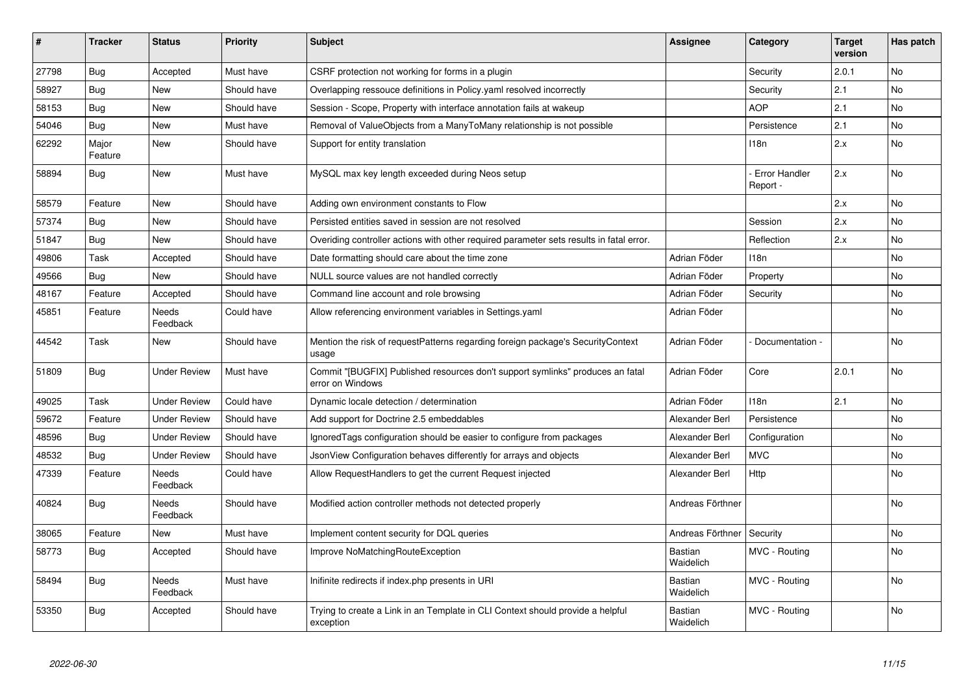| #     | <b>Tracker</b>   | <b>Status</b>            | <b>Priority</b> | <b>Subject</b>                                                                                     | Assignee             | Category                         | <b>Target</b><br>version | Has patch |
|-------|------------------|--------------------------|-----------------|----------------------------------------------------------------------------------------------------|----------------------|----------------------------------|--------------------------|-----------|
| 27798 | Bug              | Accepted                 | Must have       | CSRF protection not working for forms in a plugin                                                  |                      | Security                         | 2.0.1                    | <b>No</b> |
| 58927 | Bug              | New                      | Should have     | Overlapping ressouce definitions in Policy yaml resolved incorrectly                               |                      | Security                         | 2.1                      | No        |
| 58153 | Bug              | New                      | Should have     | Session - Scope, Property with interface annotation fails at wakeup                                |                      | <b>AOP</b>                       | 2.1                      | No        |
| 54046 | Bug              | New                      | Must have       | Removal of ValueObjects from a ManyToMany relationship is not possible                             |                      | Persistence                      | 2.1                      | No        |
| 62292 | Major<br>Feature | New                      | Should have     | Support for entity translation                                                                     |                      | 118n                             | 2.x                      | No        |
| 58894 | Bug              | New                      | Must have       | MySQL max key length exceeded during Neos setup                                                    |                      | <b>Error Handler</b><br>Report - | 2.x                      | <b>No</b> |
| 58579 | Feature          | <b>New</b>               | Should have     | Adding own environment constants to Flow                                                           |                      |                                  | 2.x                      | <b>No</b> |
| 57374 | Bug              | New                      | Should have     | Persisted entities saved in session are not resolved                                               |                      | Session                          | 2.x                      | No        |
| 51847 | Bug              | New                      | Should have     | Overiding controller actions with other required parameter sets results in fatal error.            |                      | Reflection                       | 2.x                      | No        |
| 49806 | Task             | Accepted                 | Should have     | Date formatting should care about the time zone                                                    | Adrian Föder         | 118n                             |                          | No        |
| 49566 | Bug              | New                      | Should have     | NULL source values are not handled correctly                                                       | Adrian Föder         | Property                         |                          | No        |
| 48167 | Feature          | Accepted                 | Should have     | Command line account and role browsing                                                             | Adrian Föder         | Security                         |                          | No        |
| 45851 | Feature          | Needs<br>Feedback        | Could have      | Allow referencing environment variables in Settings.yaml                                           | Adrian Föder         |                                  |                          | No        |
| 44542 | Task             | New                      | Should have     | Mention the risk of requestPatterns regarding foreign package's SecurityContext<br>usage           | Adrian Föder         | Documentation -                  |                          | No        |
| 51809 | Bug              | <b>Under Review</b>      | Must have       | Commit "[BUGFIX] Published resources don't support symlinks" produces an fatal<br>error on Windows | Adrian Föder         | Core                             | 2.0.1                    | No        |
| 49025 | Task             | <b>Under Review</b>      | Could have      | Dynamic locale detection / determination                                                           | Adrian Föder         | 118 <sub>n</sub>                 | 2.1                      | <b>No</b> |
| 59672 | Feature          | <b>Under Review</b>      | Should have     | Add support for Doctrine 2.5 embeddables                                                           | Alexander Berl       | Persistence                      |                          | No        |
| 48596 | Bug              | <b>Under Review</b>      | Should have     | Ignored Tags configuration should be easier to configure from packages                             | Alexander Berl       | Configuration                    |                          | No        |
| 48532 | Bug              | <b>Under Review</b>      | Should have     | JsonView Configuration behaves differently for arrays and objects                                  | Alexander Berl       | <b>MVC</b>                       |                          | <b>No</b> |
| 47339 | Feature          | Needs<br>Feedback        | Could have      | Allow RequestHandlers to get the current Request injected                                          | Alexander Berl       | Http                             |                          | No        |
| 40824 | Bug              | <b>Needs</b><br>Feedback | Should have     | Modified action controller methods not detected properly                                           | Andreas Förthner     |                                  |                          | <b>No</b> |
| 38065 | Feature          | New                      | Must have       | Implement content security for DQL queries                                                         | Andreas Förthner     | Security                         |                          | No        |
| 58773 | Bug              | Accepted                 | Should have     | Improve NoMatchingRouteException                                                                   | Bastian<br>Waidelich | MVC - Routing                    |                          | <b>No</b> |
| 58494 | <b>Bug</b>       | <b>Needs</b><br>Feedback | Must have       | Inifinite redirects if index.php presents in URI                                                   | Bastian<br>Waidelich | MVC - Routing                    |                          | <b>No</b> |
| 53350 | Bug              | Accepted                 | Should have     | Trying to create a Link in an Template in CLI Context should provide a helpful<br>exception        | Bastian<br>Waidelich | MVC - Routing                    |                          | <b>No</b> |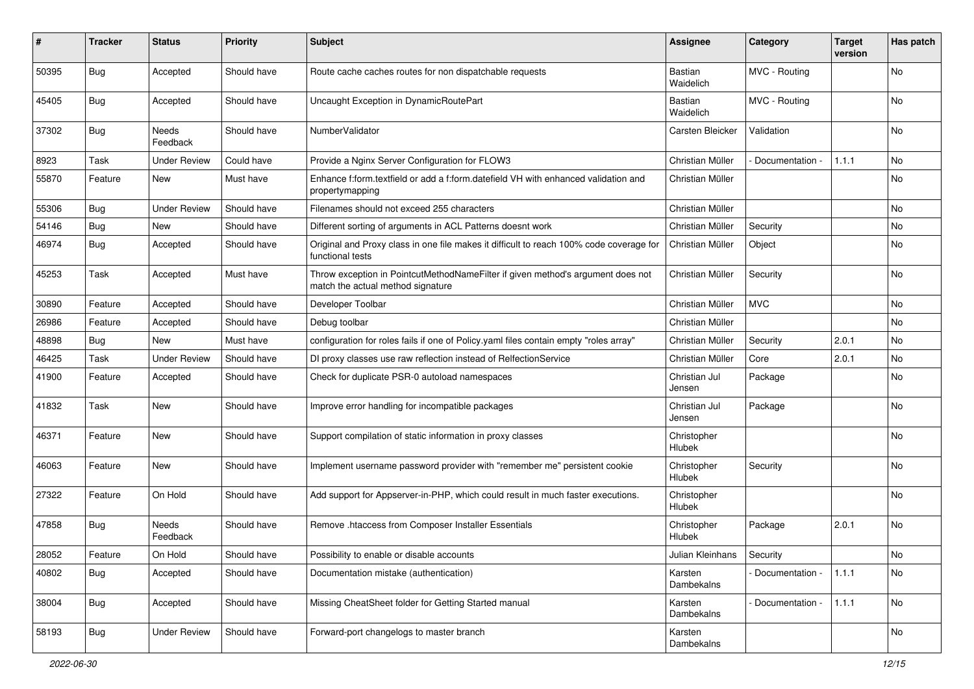| #     | Tracker    | <b>Status</b>       | <b>Priority</b> | <b>Subject</b>                                                                                                       | <b>Assignee</b>              | Category        | <b>Target</b><br>version | Has patch |
|-------|------------|---------------------|-----------------|----------------------------------------------------------------------------------------------------------------------|------------------------------|-----------------|--------------------------|-----------|
| 50395 | Bug        | Accepted            | Should have     | Route cache caches routes for non dispatchable requests                                                              | <b>Bastian</b><br>Waidelich  | MVC - Routing   |                          | <b>No</b> |
| 45405 | <b>Bug</b> | Accepted            | Should have     | Uncaught Exception in DynamicRoutePart                                                                               | <b>Bastian</b><br>Waidelich  | MVC - Routing   |                          | No        |
| 37302 | <b>Bug</b> | Needs<br>Feedback   | Should have     | NumberValidator                                                                                                      | Carsten Bleicker             | Validation      |                          | No        |
| 8923  | Task       | <b>Under Review</b> | Could have      | Provide a Nginx Server Configuration for FLOW3                                                                       | Christian Müller             | Documentation - | 1.1.1                    | No        |
| 55870 | Feature    | New                 | Must have       | Enhance f:form.textfield or add a f:form.datefield VH with enhanced validation and<br>propertymapping                | Christian Müller             |                 |                          | <b>No</b> |
| 55306 | <b>Bug</b> | <b>Under Review</b> | Should have     | Filenames should not exceed 255 characters                                                                           | Christian Müller             |                 |                          | No        |
| 54146 | Bug        | New                 | Should have     | Different sorting of arguments in ACL Patterns doesnt work                                                           | Christian Müller             | Security        |                          | No        |
| 46974 | <b>Bug</b> | Accepted            | Should have     | Original and Proxy class in one file makes it difficult to reach 100% code coverage for<br>functional tests          | Christian Müller             | Object          |                          | No        |
| 45253 | Task       | Accepted            | Must have       | Throw exception in PointcutMethodNameFilter if given method's argument does not<br>match the actual method signature | Christian Müller             | Security        |                          | <b>No</b> |
| 30890 | Feature    | Accepted            | Should have     | Developer Toolbar                                                                                                    | Christian Müller             | <b>MVC</b>      |                          | No        |
| 26986 | Feature    | Accepted            | Should have     | Debug toolbar                                                                                                        | Christian Müller             |                 |                          | <b>No</b> |
| 48898 | <b>Bug</b> | New                 | Must have       | configuration for roles fails if one of Policy.yaml files contain empty "roles array"                                | Christian Müller             | Security        | 2.0.1                    | No        |
| 46425 | Task       | <b>Under Review</b> | Should have     | DI proxy classes use raw reflection instead of RelfectionService                                                     | Christian Müller             | Core            | 2.0.1                    | No        |
| 41900 | Feature    | Accepted            | Should have     | Check for duplicate PSR-0 autoload namespaces                                                                        | Christian Jul<br>Jensen      | Package         |                          | <b>No</b> |
| 41832 | Task       | New                 | Should have     | Improve error handling for incompatible packages                                                                     | Christian Jul<br>Jensen      | Package         |                          | <b>No</b> |
| 46371 | Feature    | New                 | Should have     | Support compilation of static information in proxy classes                                                           | Christopher<br>Hlubek        |                 |                          | <b>No</b> |
| 46063 | Feature    | New                 | Should have     | Implement username password provider with "remember me" persistent cookie                                            | Christopher<br><b>Hlubek</b> | Security        |                          | No        |
| 27322 | Feature    | On Hold             | Should have     | Add support for Appserver-in-PHP, which could result in much faster executions.                                      | Christopher<br>Hlubek        |                 |                          | No        |
| 47858 | Bug        | Needs<br>Feedback   | Should have     | Remove .htaccess from Composer Installer Essentials                                                                  | Christopher<br>Hlubek        | Package         | 2.0.1                    | No        |
| 28052 | Feature    | On Hold             | Should have     | Possibility to enable or disable accounts                                                                            | Julian Kleinhans             | Security        |                          | No        |
| 40802 | <b>Bug</b> | Accepted            | Should have     | Documentation mistake (authentication)                                                                               | Karsten<br>Dambekalns        | Documentation - | 1.1.1                    | No        |
| 38004 | <b>Bug</b> | Accepted            | Should have     | Missing CheatSheet folder for Getting Started manual                                                                 | Karsten<br>Dambekalns        | Documentation - | 1.1.1                    | No        |
| 58193 | <b>Bug</b> | <b>Under Review</b> | Should have     | Forward-port changelogs to master branch                                                                             | Karsten<br>Dambekalns        |                 |                          | No        |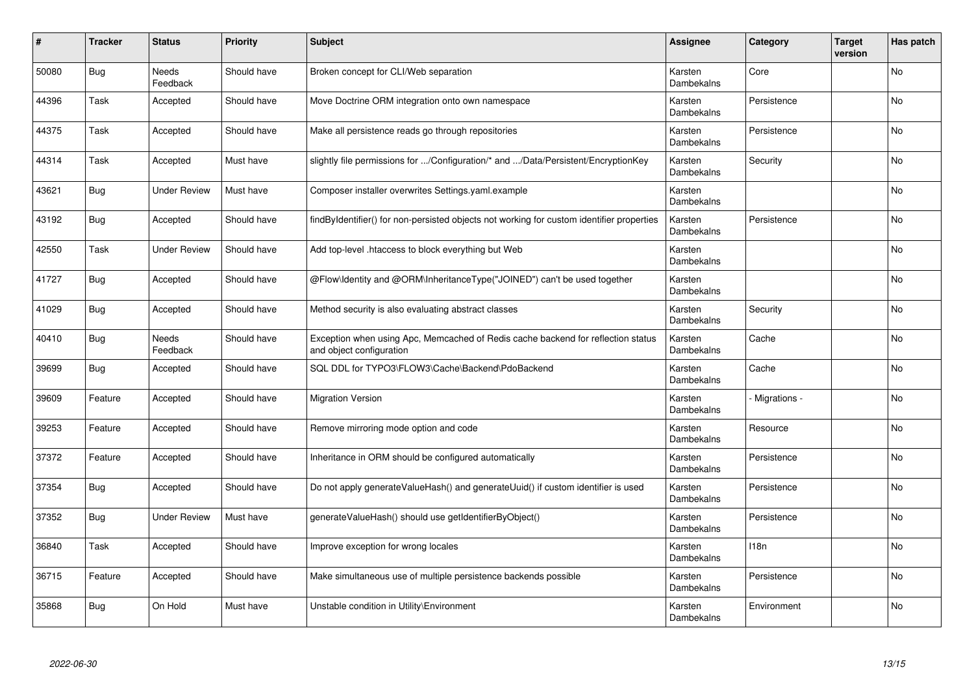| #     | <b>Tracker</b> | <b>Status</b>       | <b>Priority</b> | <b>Subject</b>                                                                                               | <b>Assignee</b>       | Category     | <b>Target</b><br>version | Has patch |
|-------|----------------|---------------------|-----------------|--------------------------------------------------------------------------------------------------------------|-----------------------|--------------|--------------------------|-----------|
| 50080 | Bug            | Needs<br>Feedback   | Should have     | Broken concept for CLI/Web separation                                                                        | Karsten<br>Dambekalns | Core         |                          | <b>No</b> |
| 44396 | Task           | Accepted            | Should have     | Move Doctrine ORM integration onto own namespace                                                             | Karsten<br>Dambekalns | Persistence  |                          | No        |
| 44375 | Task           | Accepted            | Should have     | Make all persistence reads go through repositories                                                           | Karsten<br>Dambekalns | Persistence  |                          | <b>No</b> |
| 44314 | Task           | Accepted            | Must have       | slightly file permissions for /Configuration/* and /Data/Persistent/EncryptionKey                            | Karsten<br>Dambekalns | Security     |                          | <b>No</b> |
| 43621 | Bug            | <b>Under Review</b> | Must have       | Composer installer overwrites Settings yaml.example                                                          | Karsten<br>Dambekalns |              |                          | <b>No</b> |
| 43192 | Bug            | Accepted            | Should have     | findByIdentifier() for non-persisted objects not working for custom identifier properties                    | Karsten<br>Dambekalns | Persistence  |                          | <b>No</b> |
| 42550 | Task           | <b>Under Review</b> | Should have     | Add top-level .htaccess to block everything but Web                                                          | Karsten<br>Dambekalns |              |                          | <b>No</b> |
| 41727 | Bug            | Accepted            | Should have     | @Flow\Identity and @ORM\InheritanceType("JOINED") can't be used together                                     | Karsten<br>Dambekalns |              |                          | No        |
| 41029 | <b>Bug</b>     | Accepted            | Should have     | Method security is also evaluating abstract classes                                                          | Karsten<br>Dambekalns | Security     |                          | <b>No</b> |
| 40410 | Bug            | Needs<br>Feedback   | Should have     | Exception when using Apc, Memcached of Redis cache backend for reflection status<br>and object configuration | Karsten<br>Dambekalns | Cache        |                          | <b>No</b> |
| 39699 | <b>Bug</b>     | Accepted            | Should have     | SQL DDL for TYPO3\FLOW3\Cache\Backend\PdoBackend                                                             | Karsten<br>Dambekalns | Cache        |                          | No        |
| 39609 | Feature        | Accepted            | Should have     | <b>Migration Version</b>                                                                                     | Karsten<br>Dambekalns | Migrations - |                          | <b>No</b> |
| 39253 | Feature        | Accepted            | Should have     | Remove mirroring mode option and code                                                                        | Karsten<br>Dambekalns | Resource     |                          | <b>No</b> |
| 37372 | Feature        | Accepted            | Should have     | Inheritance in ORM should be configured automatically                                                        | Karsten<br>Dambekalns | Persistence  |                          | <b>No</b> |
| 37354 | Bug            | Accepted            | Should have     | Do not apply generate Value Hash() and generate Uuid() if custom identifier is used                          | Karsten<br>Dambekalns | Persistence  |                          | <b>No</b> |
| 37352 | Bug            | <b>Under Review</b> | Must have       | generateValueHash() should use getIdentifierByObject()                                                       | Karsten<br>Dambekalns | Persistence  |                          | No        |
| 36840 | Task           | Accepted            | Should have     | Improve exception for wrong locales                                                                          | Karsten<br>Dambekalns | 118n         |                          | <b>No</b> |
| 36715 | Feature        | Accepted            | Should have     | Make simultaneous use of multiple persistence backends possible                                              | Karsten<br>Dambekalns | Persistence  |                          | <b>No</b> |
| 35868 | Bug            | On Hold             | Must have       | Unstable condition in Utility\Environment                                                                    | Karsten<br>Dambekalns | Environment  |                          | No        |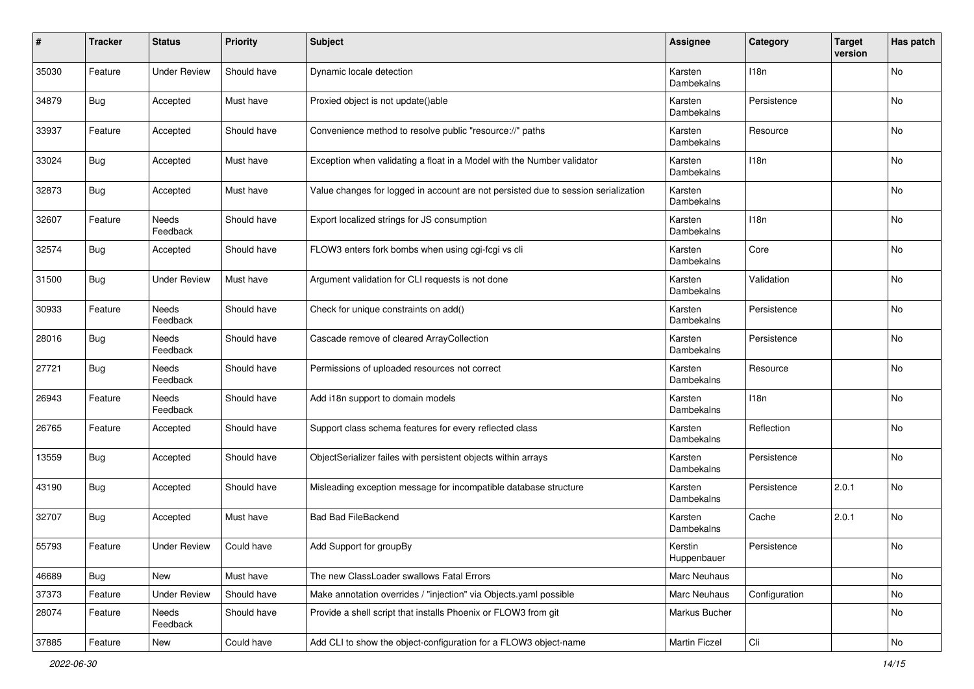| #     | <b>Tracker</b> | <b>Status</b>       | <b>Priority</b> | <b>Subject</b>                                                                     | <b>Assignee</b>        | Category      | <b>Target</b><br>version | Has patch |
|-------|----------------|---------------------|-----------------|------------------------------------------------------------------------------------|------------------------|---------------|--------------------------|-----------|
| 35030 | Feature        | <b>Under Review</b> | Should have     | Dynamic locale detection                                                           | Karsten<br>Dambekalns  | 118n          |                          | No        |
| 34879 | <b>Bug</b>     | Accepted            | Must have       | Proxied object is not update()able                                                 | Karsten<br>Dambekalns  | Persistence   |                          | No        |
| 33937 | Feature        | Accepted            | Should have     | Convenience method to resolve public "resource://" paths                           | Karsten<br>Dambekalns  | Resource      |                          | No        |
| 33024 | Bug            | Accepted            | Must have       | Exception when validating a float in a Model with the Number validator             | Karsten<br>Dambekalns  | 118n          |                          | No        |
| 32873 | <b>Bug</b>     | Accepted            | Must have       | Value changes for logged in account are not persisted due to session serialization | Karsten<br>Dambekalns  |               |                          | No        |
| 32607 | Feature        | Needs<br>Feedback   | Should have     | Export localized strings for JS consumption                                        | Karsten<br>Dambekalns  | 118n          |                          | No        |
| 32574 | Bug            | Accepted            | Should have     | FLOW3 enters fork bombs when using cgi-fcgi vs cli                                 | Karsten<br>Dambekalns  | Core          |                          | No        |
| 31500 | Bug            | <b>Under Review</b> | Must have       | Argument validation for CLI requests is not done                                   | Karsten<br>Dambekalns  | Validation    |                          | No        |
| 30933 | Feature        | Needs<br>Feedback   | Should have     | Check for unique constraints on add()                                              | Karsten<br>Dambekalns  | Persistence   |                          | No        |
| 28016 | <b>Bug</b>     | Needs<br>Feedback   | Should have     | Cascade remove of cleared ArrayCollection                                          | Karsten<br>Dambekalns  | Persistence   |                          | No        |
| 27721 | Bug            | Needs<br>Feedback   | Should have     | Permissions of uploaded resources not correct                                      | Karsten<br>Dambekalns  | Resource      |                          | No        |
| 26943 | Feature        | Needs<br>Feedback   | Should have     | Add i18n support to domain models                                                  | Karsten<br>Dambekalns  | 118n          |                          | No        |
| 26765 | Feature        | Accepted            | Should have     | Support class schema features for every reflected class                            | Karsten<br>Dambekalns  | Reflection    |                          | No        |
| 13559 | Bug            | Accepted            | Should have     | ObjectSerializer failes with persistent objects within arrays                      | Karsten<br>Dambekalns  | Persistence   |                          | No        |
| 43190 | Bug            | Accepted            | Should have     | Misleading exception message for incompatible database structure                   | Karsten<br>Dambekalns  | Persistence   | 2.0.1                    | No        |
| 32707 | <b>Bug</b>     | Accepted            | Must have       | <b>Bad Bad FileBackend</b>                                                         | Karsten<br>Dambekalns  | Cache         | 2.0.1                    | No        |
| 55793 | Feature        | <b>Under Review</b> | Could have      | Add Support for groupBy                                                            | Kerstin<br>Huppenbauer | Persistence   |                          | No        |
| 46689 | Bug            | New                 | Must have       | The new ClassLoader swallows Fatal Errors                                          | Marc Neuhaus           |               |                          | No        |
| 37373 | Feature        | <b>Under Review</b> | Should have     | Make annotation overrides / "injection" via Objects.yaml possible                  | Marc Neuhaus           | Configuration |                          | No        |
| 28074 | Feature        | Needs<br>Feedback   | Should have     | Provide a shell script that installs Phoenix or FLOW3 from git                     | Markus Bucher          |               |                          | No        |
| 37885 | Feature        | New                 | Could have      | Add CLI to show the object-configuration for a FLOW3 object-name                   | Martin Ficzel          | Cli           |                          | No        |